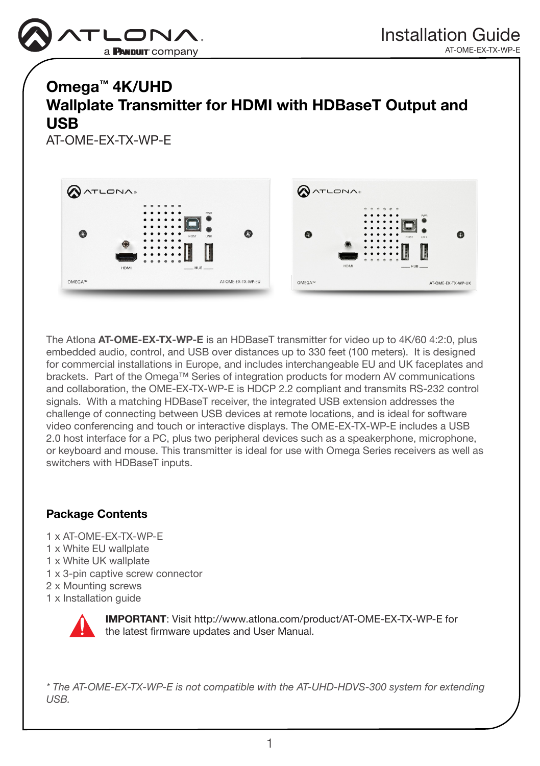

# Omega™ 4K/UHD Wallplate Transmitter for HDMI with HDBaseT Output and USB

AT-OME-EX-TX-WP-E



The Atlona AT-OME-EX-TX-WP-E is an HDBaseT transmitter for video up to 4K/60 4:2:0, plus embedded audio, control, and USB over distances up to 330 feet (100 meters). It is designed for commercial installations in Europe, and includes interchangeable EU and UK faceplates and brackets. Part of the Omega™ Series of integration products for modern AV communications and collaboration, the OME-EX-TX-WP-E is HDCP 2.2 compliant and transmits RS-232 control signals. With a matching HDBaseT receiver, the integrated USB extension addresses the challenge of connecting between USB devices at remote locations, and is ideal for software video conferencing and touch or interactive displays. The OME-EX-TX-WP-E includes a USB 2.0 host interface for a PC, plus two peripheral devices such as a speakerphone, microphone, or keyboard and mouse. This transmitter is ideal for use with Omega Series receivers as well as switchers with HDBaseT inputs.

# Package Contents

- 1 x AT-OME-EX-TX-WP-E
- 1 x White EU wallplate
- 1 x White UK wallplate
- 1 x 3-pin captive screw connector
- 2 x Mounting screws
- 1 x Installation guide



IMPORTANT: Visit http://www.atlona.com/product/AT-OME-EX-TX-WP-E for the latest firmware updates and User Manual.

*\* The AT-OME-EX-TX-WP-E is not compatible with the AT-UHD-HDVS-300 system for extending USB.*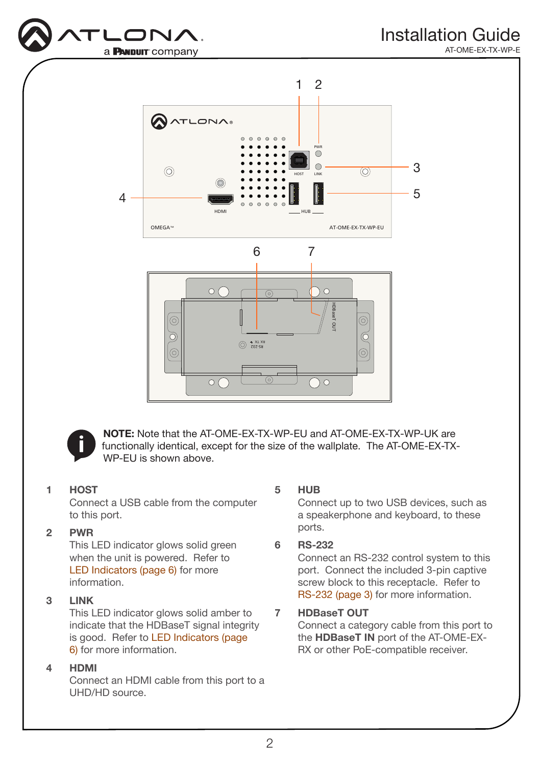

AT-OME-EX-TX-WP-E





NOTE: Note that the AT-OME-EX-TX-WP-EU and AT-OME-EX-TX-WP-UK are functionally identical, except for the size of the wallplate. The AT-OME-EX-TX-WP-EU is shown above.

### 1 HOST

HDMI HUB

HOST

Connect a USB cable from the computer to this port.

### 2 PWR

This LED indicator glows solid green when the unit is powered. Refer to [LED Indicators \(page 6\)](#page-5-0) for more information.

### $3$  LINK

This LED indicator glows solid amber to indicate that the HDBaseT signal integrity is good. Refer to [LED Indicators \(page](#page-5-0)  [6\)](#page-5-0) for more information.

### 4 HDMI

Connect an HDMI cable from this port to a UHD/HD source.

### 5 HUB

Connect up to two USB devices, such as a speakerphone and keyboard, to these ports.

### 6 RS-232

Connect an RS-232 control system to this port. Connect the included 3-pin captive screw block to this receptacle. Refer to [RS-232 \(page 3\)](#page-2-0) for more information.

### 7 HDBaseT OUT

Connect a category cable from this port to the HDBaseT IN port of the AT-OME-EX-RX or other PoE-compatible receiver.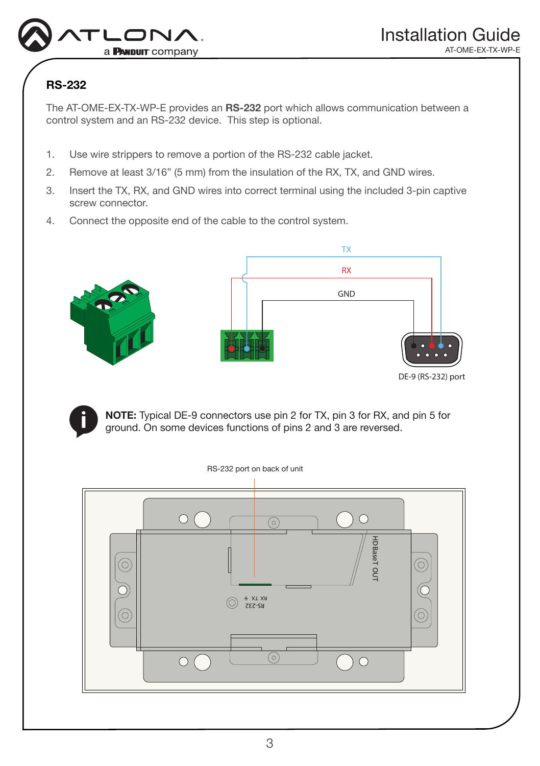

### AT-OME-EX-TX-WP-E

# <span id="page-2-0"></span>RS-232

OMEGATM AT-OME-EX-TX-WP-EU

The AT-OME-EX-TX-WP-E provides an RS-232 port which allows communication between a control system and an RS-232 device. This step is optional.

- 1. Use wire strippers to remove a portion of the RS-232 cable jacket.
- 2. Remove at least 3/16" (5 mm) from the insulation of the RX, TX, and GND wires.
- 3. Insert the TX, RX, and GND wires into correct terminal using the included 3-pin captive screw connector.
- 4. Connect the opposite end of the cable to the control system.



DE-9 (RS-232) port

NOTE: Typical DE-9 connectors use pin 2 for TX, pin 3 for RX, and pin 5 for ground. On some devices functions of pins 2 and 3 are reversed.

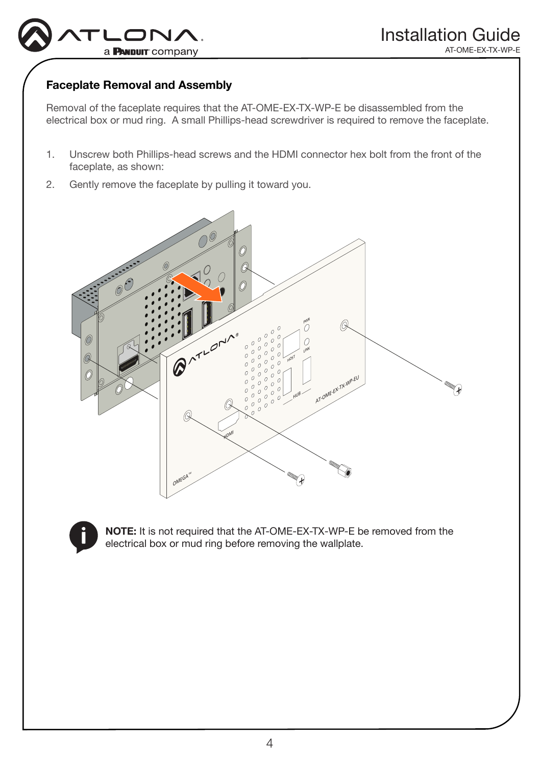

# <span id="page-3-0"></span>Faceplate Removal and Assembly

Removal of the faceplate requires that the AT-OME-EX-TX-WP-E be disassembled from the electrical box or mud ring. A small Phillips-head screwdriver is required to remove the faceplate.

- 1. Unscrew both Phillips-head screws and the HDMI connector hex bolt from the front of the faceplate, as shown:
- 2. Gently remove the faceplate by pulling it toward you.





NOTE: It is not required that the AT-OME-EX-TX-WP-E be removed from the electrical box or mud ring before removing the wallplate.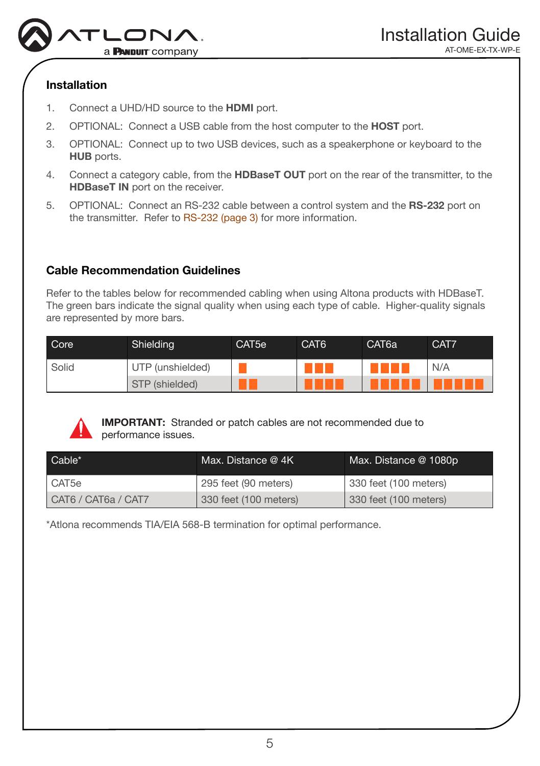

## Installation

- 1. Connect a UHD/HD source to the **HDMI** port.
- 2. OPTIONAL: Connect a USB cable from the host computer to the HOST port.
- 3. OPTIONAL: Connect up to two USB devices, such as a speakerphone or keyboard to the HUB ports.
- 4. Connect a category cable, from the **HDBaseT OUT** port on the rear of the transmitter, to the HDBaseT IN port on the receiver.
- 5. OPTIONAL: Connect an RS-232 cable between a control system and the RS-232 port on the transmitter. Refer to [RS-232 \(page 3\)](#page-2-0) for more information.

# Cable Recommendation Guidelines

Refer to the tables below for recommended cabling when using Altona products with HDBaseT. The green bars indicate the signal quality when using each type of cable. Higher-quality signals are represented by more bars.

| Core  | Shielding        | CAT5e | CAT <sub>6</sub> | CAT <sub>6a</sub> | CAT7 |
|-------|------------------|-------|------------------|-------------------|------|
| Solid | UTP (unshielded) |       |                  |                   | N/A  |
|       | STP (shielded)   |       |                  |                   |      |



IMPORTANT: Stranded or patch cables are not recommended due to performance issues.

| Cable*              | Max. Distance $@$ 4K  | Max. Distance @ 1080p |
|---------------------|-----------------------|-----------------------|
| CAT5e               | 295 feet (90 meters)  | 330 feet (100 meters) |
| CAT6 / CAT6a / CAT7 | 330 feet (100 meters) | 330 feet (100 meters) |

\*Atlona recommends TIA/EIA 568-B termination for optimal performance.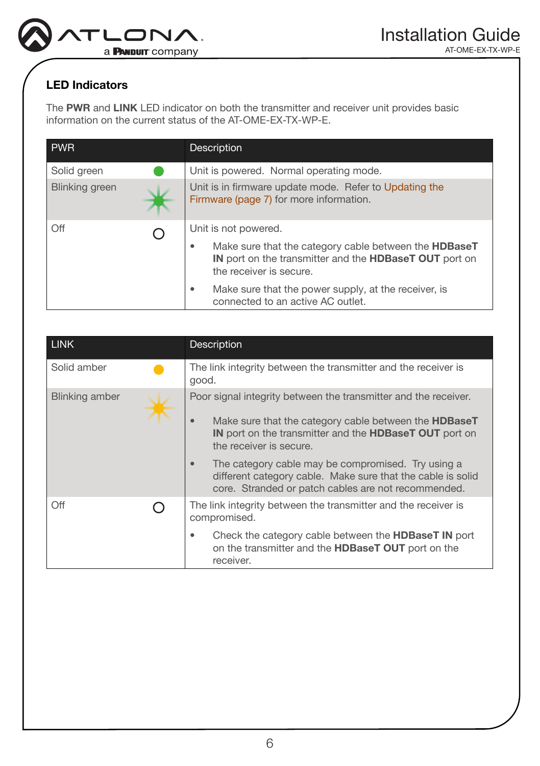

AT-OME-EX-TX-WP-E

# <span id="page-5-0"></span>LED Indicators

The PWR and LINK LED indicator on both the transmitter and receiver unit provides basic information on the current status of the AT-OME-EX-TX-WP-E.

| <b>PWR</b>            | <b>Description</b>                                                                                                                                     |  |
|-----------------------|--------------------------------------------------------------------------------------------------------------------------------------------------------|--|
| Solid green           | Unit is powered. Normal operating mode.                                                                                                                |  |
| <b>Blinking green</b> | Unit is in firmware update mode. Refer to Updating the<br>Firmware (page 7) for more information.                                                      |  |
| Off<br>( )            | Unit is not powered.                                                                                                                                   |  |
|                       | Make sure that the category cable between the <b>HDBaseT</b><br>٠<br>IN port on the transmitter and the HDBaseT OUT port on<br>the receiver is secure. |  |
|                       | Make sure that the power supply, at the receiver, is<br>٠<br>connected to an active AC outlet.                                                         |  |

| <b>LINK</b>           | Description                                                                                                                                                                                                                                                                                          |  |
|-----------------------|------------------------------------------------------------------------------------------------------------------------------------------------------------------------------------------------------------------------------------------------------------------------------------------------------|--|
| Solid amber           | The link integrity between the transmitter and the receiver is<br>good.                                                                                                                                                                                                                              |  |
| <b>Blinking amber</b> | Poor signal integrity between the transmitter and the receiver.<br>Make sure that the category cable between the <b>HDBaseT</b><br>$\bullet$<br>IN port on the transmitter and the HDBaseT OUT port on<br>the receiver is secure.<br>The category cable may be compromised. Try using a<br>$\bullet$ |  |
|                       | different category cable. Make sure that the cable is solid<br>core. Stranded or patch cables are not recommended.                                                                                                                                                                                   |  |
| Off                   | The link integrity between the transmitter and the receiver is<br>compromised.                                                                                                                                                                                                                       |  |
|                       | Check the category cable between the <b>HDBaseT IN</b> port<br>٠<br>on the transmitter and the <b>HDBaseT OUT</b> port on the<br>receiver.                                                                                                                                                           |  |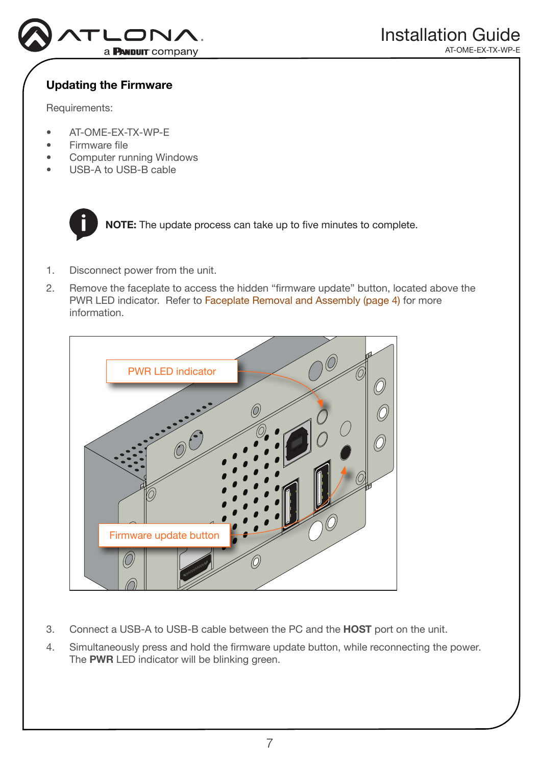

# <span id="page-6-0"></span>Updating the Firmware

Requirements:

- AT-OME-EX-TX-WP-E
- Firmware file
- Computer running Windows
- USB-A to USB-B cable



NOTE: The update process can take up to five minutes to complete.

- 1. Disconnect power from the unit.
- 2. Remove the faceplate to access the hidden "firmware update" button, located above the PWR LED indicator. Refer to [Faceplate Removal and Assembly \(page 4\)](#page-3-0) for more information.



- 3. Connect a USB-A to USB-B cable between the PC and the HOST port on the unit.
- 4. Simultaneously press and hold the firmware update button, while reconnecting the power. The **PWR** LED indicator will be blinking green.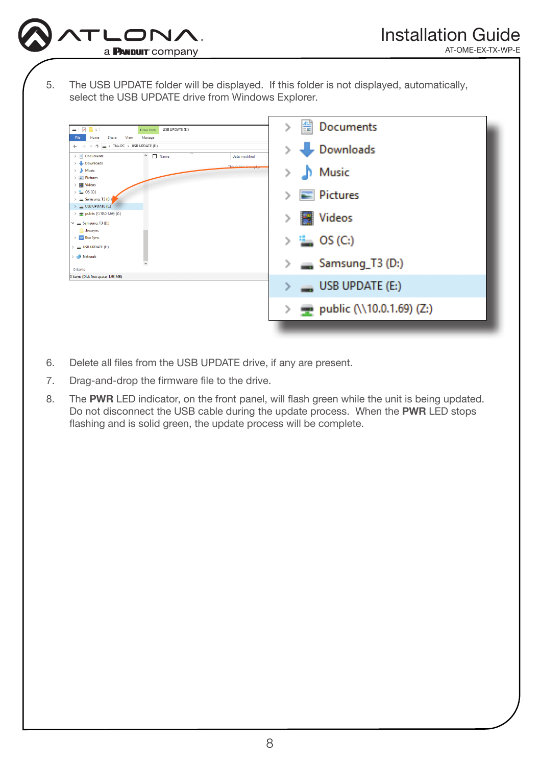

5. The USB UPDATE folder will be displayed. If this folder is not displayed, automatically, select the USB UPDATE drive from Windows Explorer.

| - 0 -<br>USB UPDATE (E:)<br>Drive Tools                                                                                                                                              | 訾<br>Documents<br>⋋           |
|--------------------------------------------------------------------------------------------------------------------------------------------------------------------------------------|-------------------------------|
| View<br>Manage<br>Share<br>Home<br>File<br>$\implies$ This PC > USB UPDATE (E:)<br>$\leftarrow$<br>$\angle$ $\blacksquare$ Documents<br>Name<br>$\hat{\phantom{a}}$<br>Date modified | Downloads                     |
| $\angle$ <b>L</b> Downloads<br>This folder is emply.<br>> h Music<br>$\angle$ $\equiv$ Pictures                                                                                      | Music                         |
| $> 4$ Videos<br>$\rightarrow \frac{1}{2}$ OS (C)<br>> = Samsung_T3 (D:)                                                                                                              | Pictures                      |
| $\rightarrow$ $\equiv$ USB UPDATE (E)<br>> = public (\\10.0.1.69) (Z:)<br>$\times$ = Samsung_T3 (D:)                                                                                 | Videos                        |
| boxsync<br>$\angle$ <b>Excel Box Sync</b><br>$=$ USB UPDATE (E)                                                                                                                      | $\frac{1}{2}$ OS (C:)         |
| Network<br>0 items                                                                                                                                                                   | Samsung_T3 (D:)<br>⋋          |
| 0 items (Disk free space: 1.93 MB)                                                                                                                                                   | $\Box$ USB UPDATE (E:)        |
|                                                                                                                                                                                      | > = public (\\10.0.1.69) (Z:) |
|                                                                                                                                                                                      |                               |

- 6. Delete all files from the USB UPDATE drive, if any are present.
- 7. Drag-and-drop the firmware file to the drive.
- 8. The PWR LED indicator, on the front panel, will flash green while the unit is being updated. Do not disconnect the USB cable during the update process. When the PWR LED stops flashing and is solid green, the update process will be complete.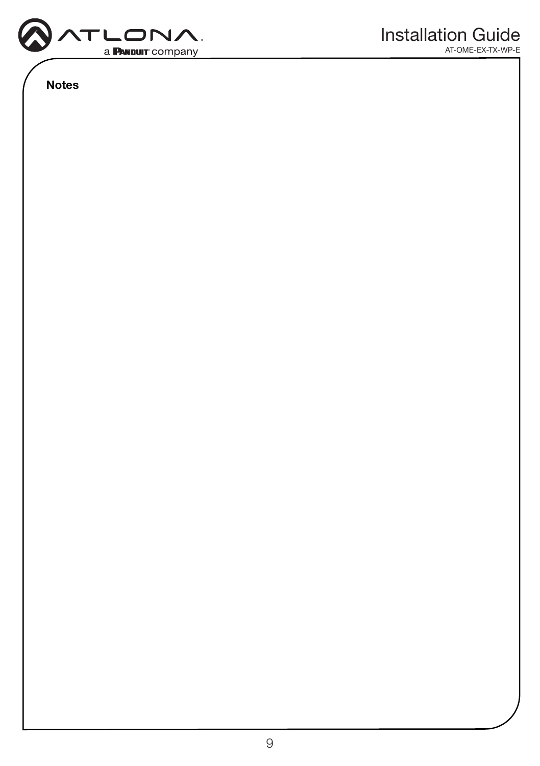

Notes

AT-OME-EX-TX-WP-E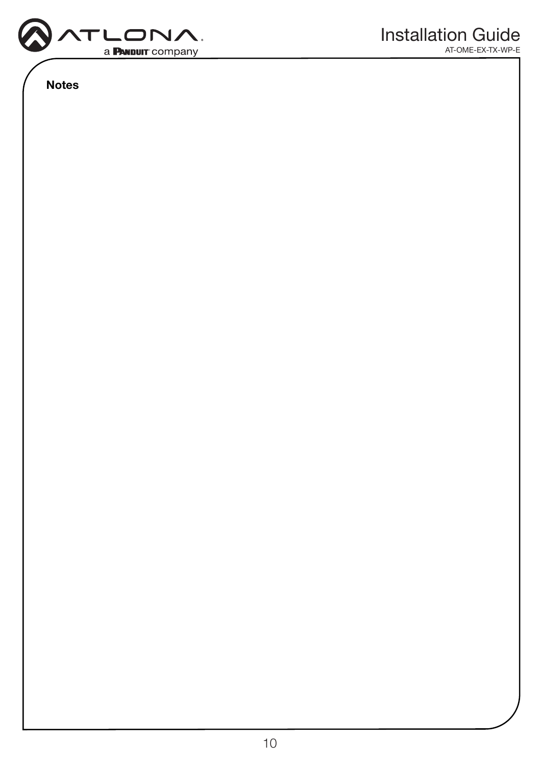

Notes

AT-OME-EX-TX-WP-E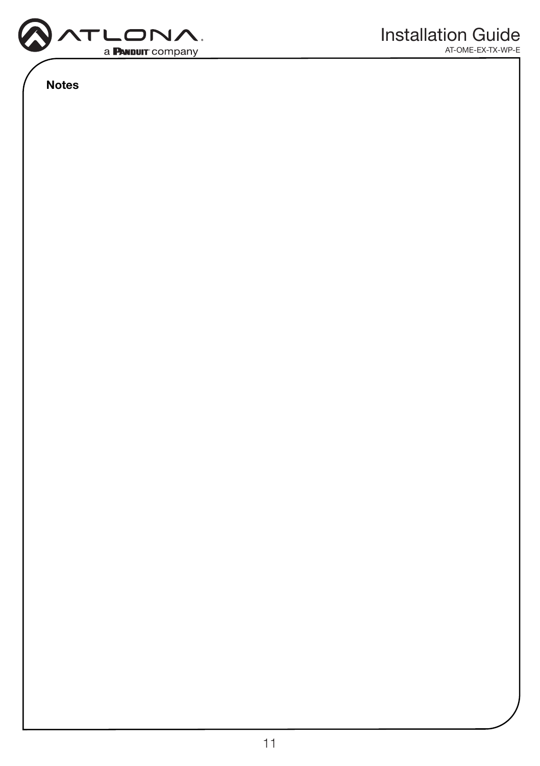

Notes

AT-OME-EX-TX-WP-E